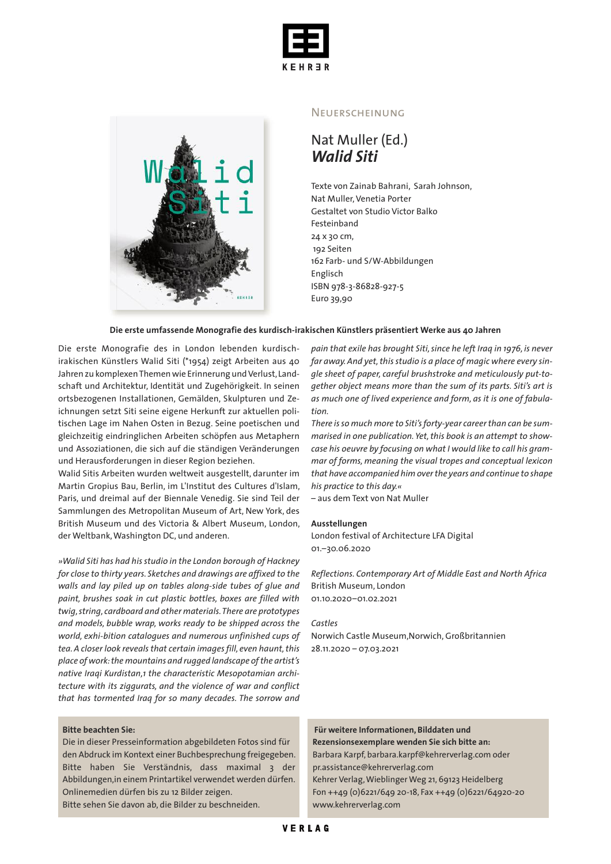



## **NEUERSCHEINUNG**

## Nat Muller (Ed.) *Walid Siti*

Texte von Zainab Bahrani, Sarah Johnson, Nat Muller,Venetia Porter Gestaltet von Studio Victor Balko Festeinband 24 x 30 cm, 192 Seiten 162 Farb- und S/W-Abbildungen Englisch ISBN 978-3-86828-927-5 Euro 39,90

#### **Die erste umfassende Monografie des kurdisch-irakischen Künstlers präsentiert Werke aus 40 Jahren**

Die erste Monografie des in London lebenden kurdischirakischen Künstlers Walid Siti (\*1954) zeigt Arbeiten aus 40 Jahren zu komplexen Themen wie Erinnerung und Verlust, Landschaft und Architektur, Identität und Zugehörigkeit. In seinen ortsbezogenen Installationen, Gemälden, Skulpturen und Zeichnungen setzt Siti seine eigene Herkunft zur aktuellen politischen Lage im Nahen Osten in Bezug. Seine poetischen und gleichzeitig eindringlichen Arbeiten schöpfen aus Metaphern und Assoziationen, die sich auf die ständigen Veränderungen und Herausforderungen in dieser Region beziehen.

Walid Sitis Arbeiten wurden weltweit ausgestellt, darunter im Martin Gropius Bau, Berlin, im L'Institut des Cultures d'Islam, Paris, und dreimal auf der Biennale Venedig. Sie sind Teil der Sammlungen des Metropolitan Museum of Art, New York, des British Museum und des Victoria & Albert Museum, London, der Weltbank,Washington DC, und anderen.

*»Walid Siti has had his studio in the London borough of Hackney for close to thirty years. Sketches and drawings are affixed to the walls and lay piled up on tables along-side tubes of glue and paint, brushes soak in cut plastic bottles, boxes are filled with twig,string, cardboard and other materials.There are prototypes and models, bubble wrap, works ready to be shipped across the world, exhi-bition catalogues and numerous unfinished cups of tea.A closer look reveals that certain imagesfill, even haunt,this place of work:the mountains and rugged landscape ofthe artist's native Iraqi Kurdistan,1 the characteristic Mesopotamian architecture with its ziggurats, and the violence of war and conflict that has tormented Iraq for so many decades. The sorrow and*

### **Bitte beachten Sie:**

Die in dieser Presseinformation abgebildeten Fotos sind für den Abdruck im Kontext einer Buchbesprechung freigegeben. Bitte haben Sie Verständnis, dass maximal 3 der Abbildungen,in einem Printartikel verwendet werden dürfen. Onlinemedien dürfen bis zu 12 Bilder zeigen.

Bitte sehen Sie davon ab, die Bilder zu beschneiden.

*pain that exile has brought Siti,since he left Iraq in 1976, is never* far away. And yet, this studio is a place of magic where every sin*gle sheet of paper, careful brushstroke and meticulously put-together object means more than the sum of its parts. Siti's art is as much one of lived experience and form, as it is one of fabulation.*

*There isso much more to Siti'sforty-year careerthan can be summarised in one publication. Yet,this book is an attempt to showcase his oeuvre by focusing on what I would like to call his grammar of forms, meaning the visual tropes and conceptual lexicon that have accompanied him overthe years and continue to shape his practice to this day.«*

– aus dem Text von Nat Muller

#### **Ausstellungen**

London festival of Architecture LFA Digital 01.–30.06.2020

*Reflections. Contemporary Art of Middle East and North Africa* British Museum, London 01.10.2020–01.02.2021

## *Castles*

Norwich Castle Museum,Norwich,Großbritannien 28.11.2020 – 07.03.2021

## **Für weitere Informationen, Bilddaten und Rezensionsexemplare wenden Sie sich bitte an:** Barbara Karpf, barbara.karpf@kehrerverlag.com oder

pr.assistance@kehrerverlag.com Kehrer Verlag,Wieblinger Weg 21, 69123 Heidelberg Fon ++49 (0)6221/649 20-18, Fax ++49 (0)6221/64920-20 www.kehrerverlag.com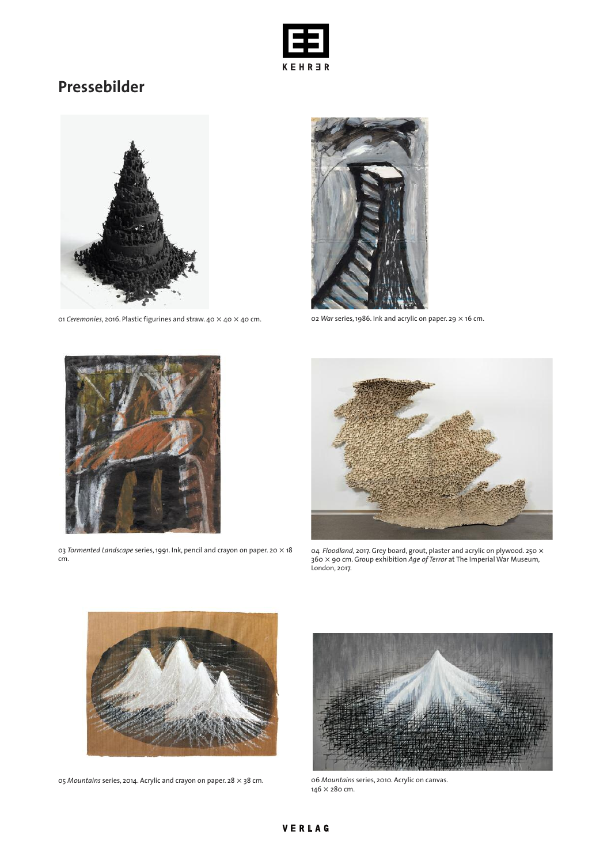

# **Pressebilder**



01 *Ceremonies*, 2016. Plastic figurines and straw. 40 × 40 × 40 cm. 02 *War* series,1986. Ink and acrylic on paper. 29 × 16 cm.





03 *Tormented Landscape* series,1991. Ink, pencil and crayon on paper. 20 × 18 cm.



04 *Floodland*, 2017. Grey board, grout, plaster and acrylic on plywood. 250 × 360 × 90 cm. Group exhibition *Age of Terror* at The Imperial War Museum, London, 2017.



05 *Mountains* series, 2014. Acrylic and crayon on paper. 28 × 38 cm. 06 *Mountains* series, 2010. Acrylic on canvas.



146 × 280 cm.

## VERLAG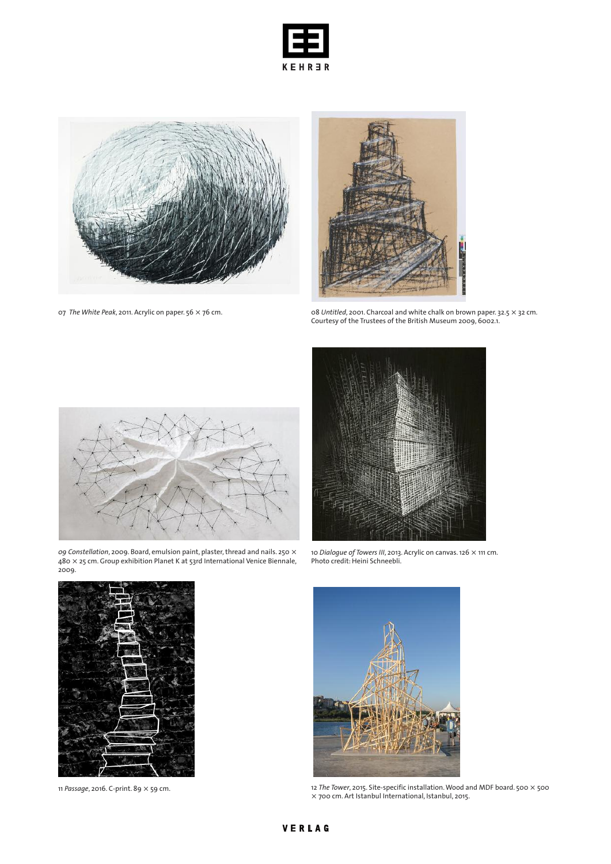



07 *The White Peak*, 2011. Acrylic on paper. 56 × 76 cm.



08 *Untitled*, 2001. Charcoal and white chalk on brown paper. 32.5 × 32 cm. Courtesy of the Trustees of the British Museum 2009, 6002.1.



*09 Constellation*, 2009. Board, emulsion paint, plaster,thread and nails. 250 × 480 × 25 cm. Group exhibition Planet K at 53rd International Venice Biennale, 2009.



10 *Dialogue of Towers III*, 2013. Acrylic on canvas. 126 × 111 cm. Photo credit: Heini Schneebli.





11 *Passage*, 2016. C-print. 89 × 59 cm. 12 *The Tower*, 2015. Site-specific installation.Wood and MDF board. 500 × 500 × 700 cm. Art Istanbul International, Istanbul, 2015.